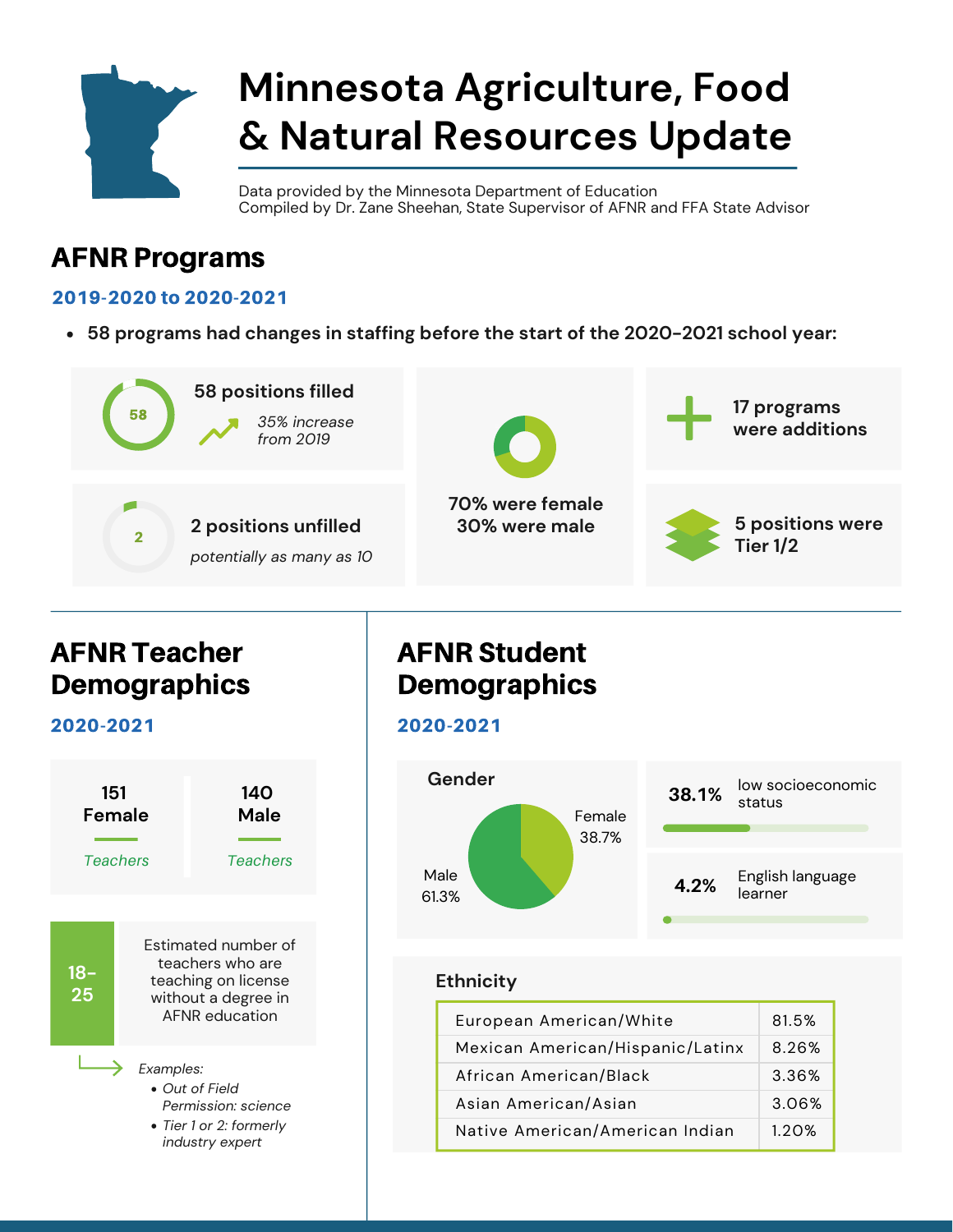

# **Minnesota Agriculture, Food & Natural Resources Update**

Data provided by the Minnesota Department of Education Compiled by Dr. Zane Sheehan, State Supervisor of AFNR and FFA State Advisor

# AFNR Programs

#### 2019-2020 to 2020-2021

**58 programs had changes in staffing before the start of the 2020-2021 school year:**



## AFNR Teacher **Demographics**

2020-2021



# AFNR Student **Demographics**

2020-2021



### **Ethnicity**

| European American/White          | 81.5% |
|----------------------------------|-------|
| Mexican American/Hispanic/Latinx | 8.26% |
| African American/Black           | 3.36% |
| Asian American/Asian             | 3.06% |
| Native American/American Indian  | 1.20% |